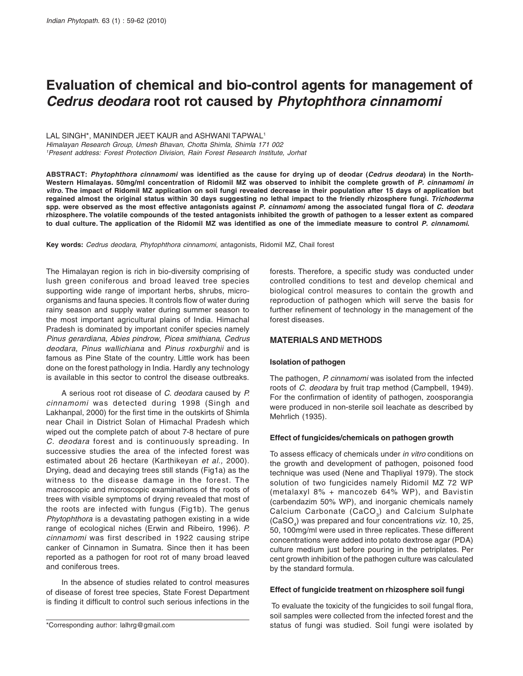# **Evaluation of chemical and bio-control agents for management of** *Cedrus deodara* **root rot caused by** *Phytophthora cinnamomi*

LAL SINGH\*, MANINDER JEET KAUR and ASHWANI TAPWAL<sup>1</sup>

Himalayan Research Group, Umesh Bhavan, Chotta Shimla, Shimla 171 002 <sup>1</sup>Present address: Forest Protection Division, Rain Forest Research Institute, Jorhat

**ABSTRACT:** *Phytophthora cinnamomi* **was identified as the cause for drying up of deodar (***Cedrus deodara***) in the North-Western Himalayas***.* **50mg/ml concentration of Ridomil MZ was observed to inhibit the complete growth of** *P. cinnamomi in vitro.* **The impact of Ridomil MZ application on soil fungi revealed decrease in their population after 15 days of application but regained almost the original status within 30 days suggesting no lethal impact to the friendly rhizosphere fungi.** *Trichoderma* **spp. were observed as the most effective antagonists against** *P. cinnamomi* **among the associated fungal flora of** *C. deodara* **rhizosphere. The volatile compounds of the tested antagonists inhibited the growth of pathogen to a lesser extent as compared to dual culture. The application of the Ridomil MZ was identified as one of the immediate measure to control** *P. cinnamomi***.**

**Key words:** Cedrus deodara, Phytophthora cinnamomi, antagonists, Ridomil MZ, Chail forest

The Himalayan region is rich in bio-diversity comprising of lush green coniferous and broad leaved tree species supporting wide range of important herbs, shrubs, microorganisms and fauna species. It controls flow of water during rainy season and supply water during summer season to the most important agricultural plains of India. Himachal Pradesh is dominated by important conifer species namely Pinus gerardiana, Abies pindrow, Picea smithiana, Cedrus deodara, Pinus wallichiana and Pinus roxburghii and is famous as Pine State of the country. Little work has been done on the forest pathology in India. Hardly any technology is available in this sector to control the disease outbreaks.

A serious root rot disease of C. deodara caused by P. cinnamomi was detected during 1998 (Singh and Lakhanpal, 2000) for the first time in the outskirts of Shimla near Chail in District Solan of Himachal Pradesh which wiped out the complete patch of about 7-8 hectare of pure C. deodara forest and is continuously spreading. In successive studies the area of the infected forest was estimated about 26 hectare (Karthikeyan et al., 2000). Drying, dead and decaying trees still stands (Fig1a) as the witness to the disease damage in the forest. The macroscopic and microscopic examinations of the roots of trees with visible symptoms of drying revealed that most of the roots are infected with fungus (Fig1b). The genus Phytophthora is a devastating pathogen existing in a wide range of ecological niches (Erwin and Ribeiro, 1996). P. cinnamomi was first described in 1922 causing stripe canker of Cinnamon in Sumatra. Since then it has been reported as a pathogen for root rot of many broad leaved and coniferous trees.

In the absence of studies related to control measures of disease of forest tree species, State Forest Department is finding it difficult to control such serious infections in the

forests. Therefore, a specific study was conducted under controlled conditions to test and develop chemical and biological control measures to contain the growth and reproduction of pathogen which will serve the basis for further refinement of technology in the management of the forest diseases.

# **MATERIALS AND METHODS**

## **Isolation of pathogen**

The pathogen, P. cinnamomi was isolated from the infected roots of C. deodara by fruit trap method (Campbell, 1949). For the confirmation of identity of pathogen, zoosporangia were produced in non-sterile soil leachate as described by Mehrlich (1935).

## **Effect of fungicides/chemicals on pathogen growth**

To assess efficacy of chemicals under in vitro conditions on the growth and development of pathogen, poisoned food technique was used (Nene and Thapliyal 1979). The stock solution of two fungicides namely Ridomil MZ 72 WP (metalaxyl 8% + mancozeb 64% WP), and Bavistin (carbendazim 50% WP), and inorganic chemicals namely Calcium Carbonate (CaCO<sub>3</sub>) and Calcium Sulphate (CaSO<sub>4</sub>) was prepared and four concentrations *viz.* 10, 25, 50, 100mg/ml were used in three replicates. These different concentrations were added into potato dextrose agar (PDA) culture medium just before pouring in the petriplates. Per cent growth inhibition of the pathogen culture was calculated by the standard formula.

## **Effect of fungicide treatment on rhizosphere soil fungi**

 To evaluate the toxicity of the fungicides to soil fungal flora, soil samples were collected from the infected forest and the \*Corresponding author: lalhrg@gmail.com status of fungi was studied. Soil fungi were isolated by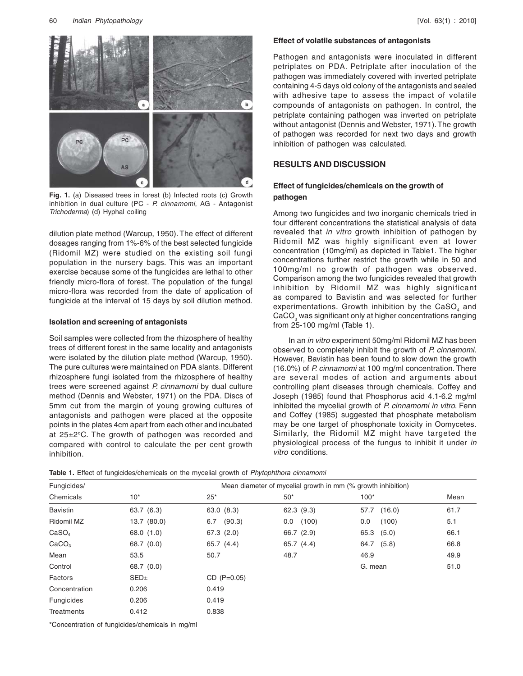

**Fig. 1.** (a) Diseased trees in forest (b) Infected roots (c) Growth inhibition in dual culture (PC - P. cinnamomi, AG - Antagonist Trichoderma) (d) Hyphal coiling

dilution plate method (Warcup, 1950). The effect of different dosages ranging from 1%-6% of the best selected fungicide (Ridomil MZ) were studied on the existing soil fungi population in the nursery bags. This was an important exercise because some of the fungicides are lethal to other friendly micro-flora of forest. The population of the fungal micro-flora was recorded from the date of application of fungicide at the interval of 15 days by soil dilution method.

## **Isolation and screening of antagonists**

Soil samples were collected from the rhizosphere of healthy trees of different forest in the same locality and antagonists were isolated by the dilution plate method (Warcup, 1950). The pure cultures were maintained on PDA slants. Different rhizosphere fungi isolated from the rhizosphere of healthy trees were screened against P. cinnamomi by dual culture method (Dennis and Webster, 1971) on the PDA. Discs of 5mm cut from the margin of young growing cultures of antagonists and pathogen were placed at the opposite points in the plates 4cm apart from each other and incubated at  $25\pm2\degree$ C. The growth of pathogen was recorded and compared with control to calculate the per cent growth inhibition.

## **Effect of volatile substances of antagonists**

Pathogen and antagonists were inoculated in different petriplates on PDA. Petriplate after inoculation of the pathogen was immediately covered with inverted petriplate containing 4-5 days old colony of the antagonists and sealed with adhesive tape to assess the impact of volatile compounds of antagonists on pathogen. In control, the petriplate containing pathogen was inverted on petriplate without antagonist (Dennis and Webster, 1971). The growth of pathogen was recorded for next two days and growth inhibition of pathogen was calculated.

# **RESULTS AND DISCUSSION**

## **Effect of fungicides/chemicals on the growth of pathogen**

Among two fungicides and two inorganic chemicals tried in four different concentrations the statistical analysis of data revealed that *in vitro* growth inhibition of pathogen by Ridomil MZ was highly significant even at lower concentration (10mg/ml) as depicted in Table1. The higher concentrations further restrict the growth while in 50 and 100mg/ml no growth of pathogen was observed. Comparison among the two fungicides revealed that growth inhibition by Ridomil MZ was highly significant as compared to Bavistin and was selected for further experimentations. Growth inhibition by the CaSO, and CaCO<sub>2</sub> was significant only at higher concentrations ranging from 25-100 mg/ml (Table 1).

In an in vitro experiment 50mg/ml Ridomil MZ has been observed to completely inhibit the growth of P. cinnamomi. However, Bavistin has been found to slow down the growth (16.0%) of P. cinnamomi at 100 mg/ml concentration. There are several modes of action and arguments about controlling plant diseases through chemicals. Coffey and Joseph (1985) found that Phosphorus acid 4.1-6.2 mg/ml inhibited the mycelial growth of P. cinnamomi in vitro. Fenn and Coffey (1985) suggested that phosphate metabolism may be one target of phosphonate toxicity in Oomycetes. Similarly, the Ridomil MZ might have targeted the physiological process of the fungus to inhibit it under in vitro conditions.

|  | Table 1. Effect of fungicides/chemicals on the mycelial growth of Phytophthora cinnamomi |  |  |  |  |
|--|------------------------------------------------------------------------------------------|--|--|--|--|
|--|------------------------------------------------------------------------------------------|--|--|--|--|

| Fungicides/       |                  | Mean diameter of mycelial growth in mm (% growth inhibition) |              |               |      |  |
|-------------------|------------------|--------------------------------------------------------------|--------------|---------------|------|--|
| Chemicals         | $10*$            | $25*$                                                        | $50*$        | $100*$        | Mean |  |
| <b>Bavistin</b>   | 63.7 (6.3)       | 63.0(8.3)                                                    | 62.3(9.3)    | 57.7 (16.0)   | 61.7 |  |
| Ridomil MZ        | 13.7 (80.0)      | (90.3)<br>6.7                                                | (100)<br>0.0 | (100)<br>0.0  | 5.1  |  |
| CaSO <sub>4</sub> | 68.0 (1.0)       | 67.3(2.0)                                                    | 66.7 (2.9)   | 65.3<br>(5.0) | 66.1 |  |
| CaCO <sub>3</sub> | 68.7 (0.0)       | 65.7 (4.4)                                                   | 65.7 (4.4)   | 64.7 (5.8)    | 66.8 |  |
| Mean              | 53.5             | 50.7                                                         | 48.7         | 46.9          | 49.9 |  |
| Control           | 68.7 (0.0)       |                                                              |              | G. mean       | 51.0 |  |
| Factors           | SED <sub>±</sub> | $CD (P=0.05)$                                                |              |               |      |  |
| Concentration     | 0.206            | 0.419                                                        |              |               |      |  |
| Fungicides        | 0.206            | 0.419                                                        |              |               |      |  |
| <b>Treatments</b> | 0.412            | 0.838                                                        |              |               |      |  |

\*Concentration of fungicides/chemicals in mg/ml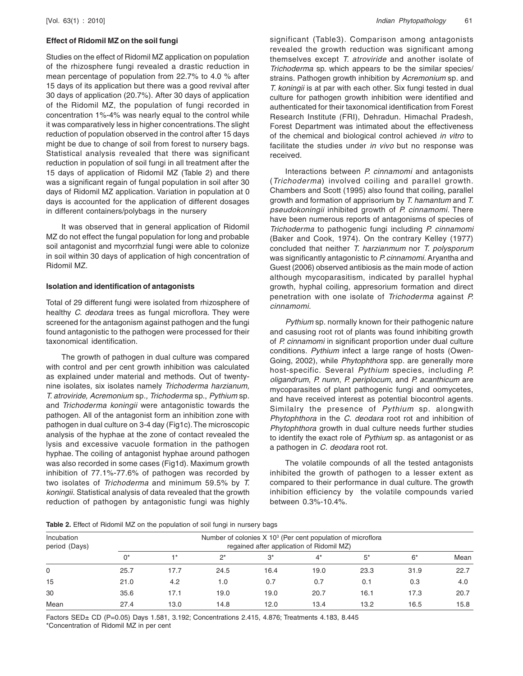## **Effect of Ridomil MZ on the soil fungi**

Studies on the effect of Ridomil MZ application on population of the rhizosphere fungi revealed a drastic reduction in mean percentage of population from 22.7% to 4.0 % after 15 days of its application but there was a good revival after 30 days of application (20.7%). After 30 days of application of the Ridomil MZ, the population of fungi recorded in concentration 1%-4% was nearly equal to the control while it was comparatively less in higher concentrations. The slight reduction of population observed in the control after 15 days might be due to change of soil from forest to nursery bags. Statistical analysis revealed that there was significant reduction in population of soil fungi in all treatment after the 15 days of application of Ridomil MZ (Table 2) and there was a significant regain of fungal population in soil after 30 days of Ridomil MZ application. Variation in population at 0 days is accounted for the application of different dosages in different containers/polybags in the nursery

It was observed that in general application of Ridomil MZ do not effect the fungal population for long and probable soil antagonist and mycorrhzial fungi were able to colonize in soil within 30 days of application of high concentration of Ridomil MZ.

## **Isolation and identification of antagonists**

Total of 29 different fungi were isolated from rhizosphere of healthy C. deodara trees as fungal microflora. They were screened for the antagonism against pathogen and the fungi found antagonistic to the pathogen were processed for their taxonomical identification.

The growth of pathogen in dual culture was compared with control and per cent growth inhibition was calculated as explained under material and methods. Out of twentynine isolates, six isolates namely Trichoderma harzianum, T. atroviride, Acremonium sp., Trichoderma sp., Pythium sp. and Trichoderma koningii were antagonistic towards the pathogen. All of the antagonist form an inhibition zone with pathogen in dual culture on 3-4 day (Fig1c). The microscopic analysis of the hyphae at the zone of contact revealed the lysis and excessive vacuole formation in the pathogen hyphae. The coiling of antagonist hyphae around pathogen was also recorded in some cases (Fig1d). Maximum growth inhibition of 77.1%-77.6% of pathogen was recorded by two isolates of Trichoderma and minimum 59.5% by T. koningii. Statistical analysis of data revealed that the growth reduction of pathogen by antagonistic fungi was highly

significant (Table3). Comparison among antagonists revealed the growth reduction was significant among themselves except T. atroviride and another isolate of Trichoderma sp. which appears to be the similar species/ strains. Pathogen growth inhibition by Acremonium sp. and T. koningii is at par with each other. Six fungi tested in dual culture for pathogen growth inhibition were identified and authenticated for their taxonomical identification from Forest Research Institute (FRI), Dehradun. Himachal Pradesh, Forest Department was intimated about the effectiveness of the chemical and biological control achieved in vitro to facilitate the studies under in vivo but no response was received.

Interactions between P. cinnamomi and antagonists (Trichoderma) involved coiling and parallel growth. Chambers and Scott (1995) also found that coiling, parallel growth and formation of apprisorium by T. hamantum and T. pseudokoningii inhibited growth of P. cinnamomi. There have been numerous reports of antagonisms of species of Trichoderma to pathogenic fungi including P. cinnamomi (Baker and Cook, 1974). On the contrary Kelley (1977) concluded that neither T. harzianmum nor T. polysporum was significantly antagonistic to P. cinnamomi. Aryantha and Guest (2006) observed antibiosis as the main mode of action although mycoparasitism, indicated by parallel hyphal growth, hyphal coiling, appresorium formation and direct penetration with one isolate of Trichoderma against P. cinnamomi.

Pythium sp. normally known for their pathogenic nature and casusing root rot of plants was found inhibiting growth of P. cinnamomi in significant proportion under dual culture conditions. Pythium infect a large range of hosts (Owen-Going, 2002), while Phytophthora spp. are generally more host-specific. Several Pythium species, including P. oligandrum, P. nunn, P. periplocum, and P. acanthicum are mycoparasites of plant pathogenic fungi and oomycetes, and have received interest as potential biocontrol agents. Similalry the presence of Pythium sp. alongwith Phytophthora in the C. deodara root rot and inhibition of Phytophthora growth in dual culture needs further studies to identify the exact role of Pythium sp. as antagonist or as a pathogen in C. deodara root rot.

The volatile compounds of all the tested antagonists inhibited the growth of pathogen to a lesser extent as compared to their performance in dual culture. The growth inhibition efficiency by the volatile compounds varied between 0.3%-10.4%.

Table 2. Effect of Ridomil MZ on the population of soil fungi in nursery bags

| Incubation<br>period (Days) |       | Number of colonies X 10 <sup>3</sup> (Per cent population of microflora<br>regained after application of Ridomil MZ) |       |       |       |      |      |      |
|-----------------------------|-------|----------------------------------------------------------------------------------------------------------------------|-------|-------|-------|------|------|------|
|                             | $0^*$ | $+*$                                                                                                                 | $2^*$ | $3^*$ | $4^*$ | $5*$ | $6*$ | Mean |
| 0                           | 25.7  | 17.7                                                                                                                 | 24.5  | 16.4  | 19.0  | 23.3 | 31.9 | 22.7 |
| 15                          | 21.0  | 4.2                                                                                                                  | 1.0   | 0.7   | 0.7   | 0.1  | 0.3  | 4.0  |
| 30                          | 35.6  | 17.1                                                                                                                 | 19.0  | 19.0  | 20.7  | 16.1 | 17.3 | 20.7 |
| Mean                        | 27.4  | 13.0                                                                                                                 | 14.8  | 12.0  | 13.4  | 13.2 | 16.5 | 15.8 |

Factors SED± CD (P=0.05) Days 1.581, 3.192; Concentrations 2.415, 4.876; Treatments 4.183, 8.445 \*Concentration of Ridomil MZ in per cent